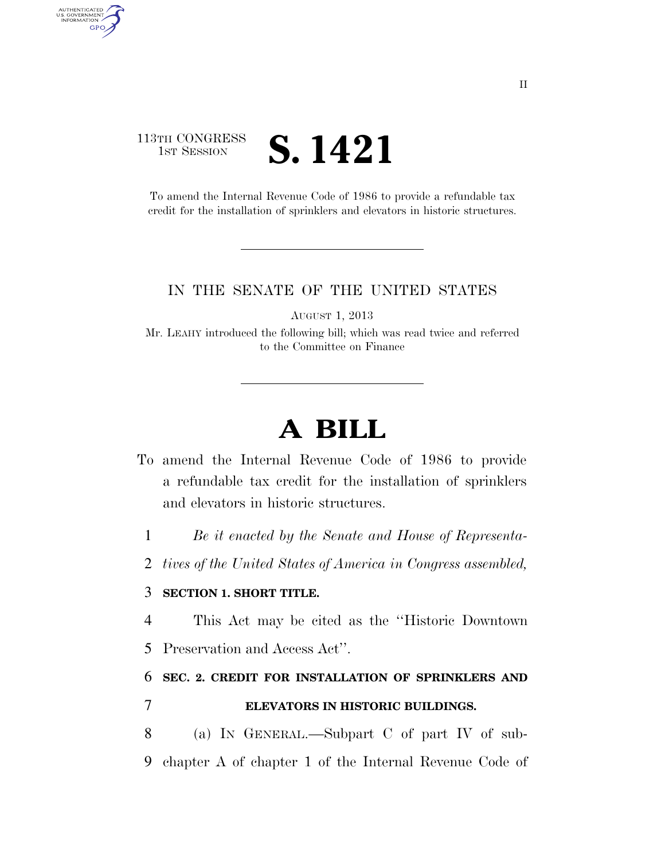# 113TH CONGRESS **IST SESSION S. 1421**

AUTHENTICATED<br>U.S. GOVERNMENT<br>INFORMATION GPO

> To amend the Internal Revenue Code of 1986 to provide a refundable tax credit for the installation of sprinklers and elevators in historic structures.

### IN THE SENATE OF THE UNITED STATES

AUGUST 1, 2013

Mr. LEAHY introduced the following bill; which was read twice and referred to the Committee on Finance

# **A BILL**

- To amend the Internal Revenue Code of 1986 to provide a refundable tax credit for the installation of sprinklers and elevators in historic structures.
	- 1 *Be it enacted by the Senate and House of Representa-*
	- 2 *tives of the United States of America in Congress assembled,*

## 3 **SECTION 1. SHORT TITLE.**

- 4 This Act may be cited as the ''Historic Downtown
- 5 Preservation and Access Act''.

6 **SEC. 2. CREDIT FOR INSTALLATION OF SPRINKLERS AND** 

7 **ELEVATORS IN HISTORIC BUILDINGS.** 

8 (a) IN GENERAL.—Subpart C of part IV of sub-9 chapter A of chapter 1 of the Internal Revenue Code of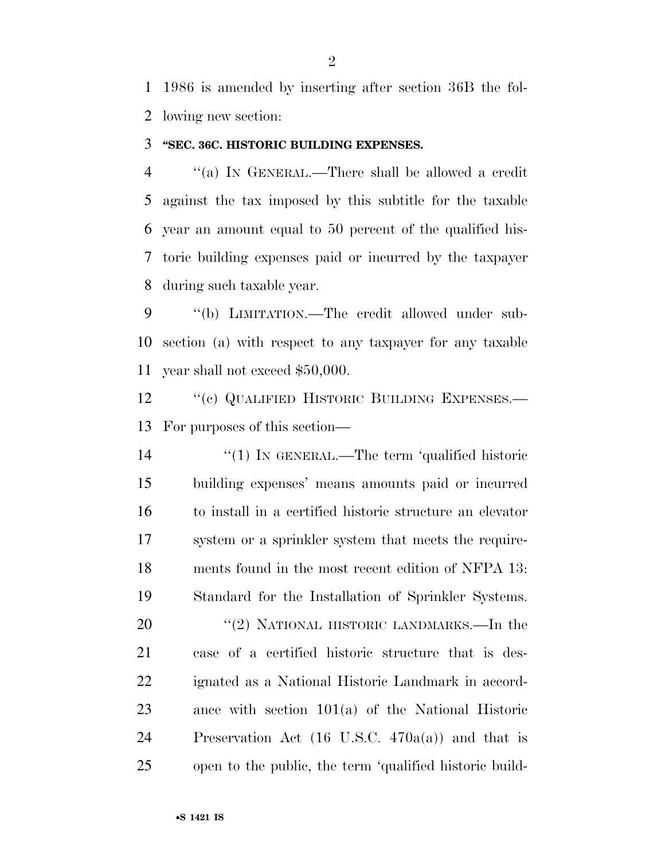1986 is amended by inserting after section 36B the fol-lowing new section:

#### **''SEC. 36C. HISTORIC BUILDING EXPENSES.**

 ''(a) IN GENERAL.—There shall be allowed a credit against the tax imposed by this subtitle for the taxable year an amount equal to 50 percent of the qualified his- toric building expenses paid or incurred by the taxpayer during such taxable year.

 ''(b) LIMITATION.—The credit allowed under sub- section (a) with respect to any taxpayer for any taxable year shall not exceed \$50,000.

12 "(c) QUALIFIED HISTORIC BUILDING EXPENSES.— For purposes of this section—

 $\frac{1}{2}$  (1) In GENERAL.—The term 'qualified historic building expenses' means amounts paid or incurred to install in a certified historic structure an elevator system or a sprinkler system that meets the require- ments found in the most recent edition of NFPA 13: Standard for the Installation of Sprinkler Systems. 20 "(2) NATIONAL HISTORIC LANDMARKS.—In the case of a certified historic structure that is des- ignated as a National Historic Landmark in accord- ance with section 101(a) of the National Historic Preservation Act (16 U.S.C. 470a(a)) and that is open to the public, the term 'qualified historic build-